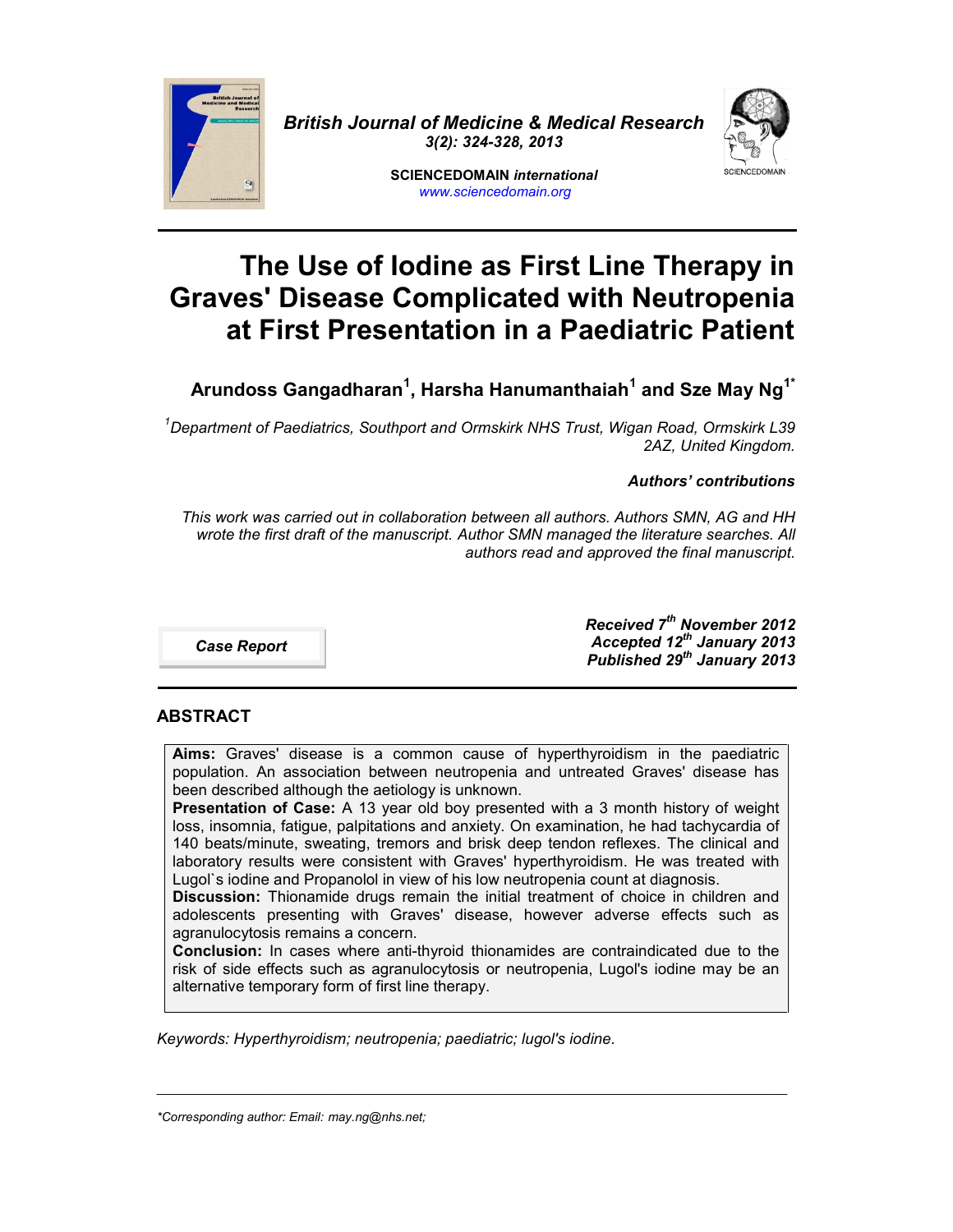

*British Journal of Medicine & Medical Research 3(2): 324-328, 2013*



**SCIENCEDOMAIN** *international www.sciencedomain.org*

# **The Use of Iodine as First Line Therapy in Graves' Disease Complicated with Neutropenia at First Presentation in a Paediatric Patient**

**Arundoss Gangadharan<sup>1</sup> , Harsha Hanumanthaiah<sup>1</sup> and Sze May Ng1\***

*<sup>1</sup>Department of Paediatrics, Southport and Ormskirk NHS Trust, Wigan Road, Ormskirk L39 2AZ, United Kingdom.*

# *Authors' contributions*

*This work was carried out in collaboration between all authors. Authors SMN, AG and HH wrote the first draft of the manuscript. Author SMN managed the literature searches. All authors read and approved the final manuscript.*

*Case Report*

*Received 7 th November 2012 Accepted 12th January 2013 Published 29 th January 2013*

# **ABSTRACT**

**Aims:** Graves' disease is a common cause of hyperthyroidism in the paediatric population. An association between neutropenia and untreated Graves' disease has been described although the aetiology is unknown.

**Presentation of Case:** A 13 year old boy presented with a 3 month history of weight loss, insomnia, fatigue, palpitations and anxiety. On examination, he had tachycardia of 140 beats/minute, sweating, tremors and brisk deep tendon reflexes. The clinical and laboratory results were consistent with Graves' hyperthyroidism. He was treated with Lugol`s iodine and Propanolol in view of his low neutropenia count at diagnosis.

**Discussion:** Thionamide drugs remain the initial treatment of choice in children and adolescents presenting with Graves' disease, however adverse effects such as agranulocytosis remains a concern.

**Conclusion:** In cases where anti-thyroid thionamides are contraindicated due to the risk of side effects such as agranulocytosis or neutropenia, Lugol's iodine may be an alternative temporary form of first line therapy.

\_\_\_\_\_\_\_\_\_\_\_\_\_\_\_\_\_\_\_\_\_\_\_\_\_\_\_\_\_\_\_\_\_\_\_\_\_\_\_\_\_\_\_\_\_\_\_\_\_\_\_\_\_\_\_\_\_\_\_\_\_\_\_\_\_\_\_\_\_\_\_\_\_\_\_\_\_\_\_\_\_\_\_\_\_\_\_\_\_\_\_

*Keywords: Hyperthyroidism; neutropenia; paediatric; lugol's iodine.*

*<sup>\*</sup>Corresponding author: Email: may.ng@nhs.net;*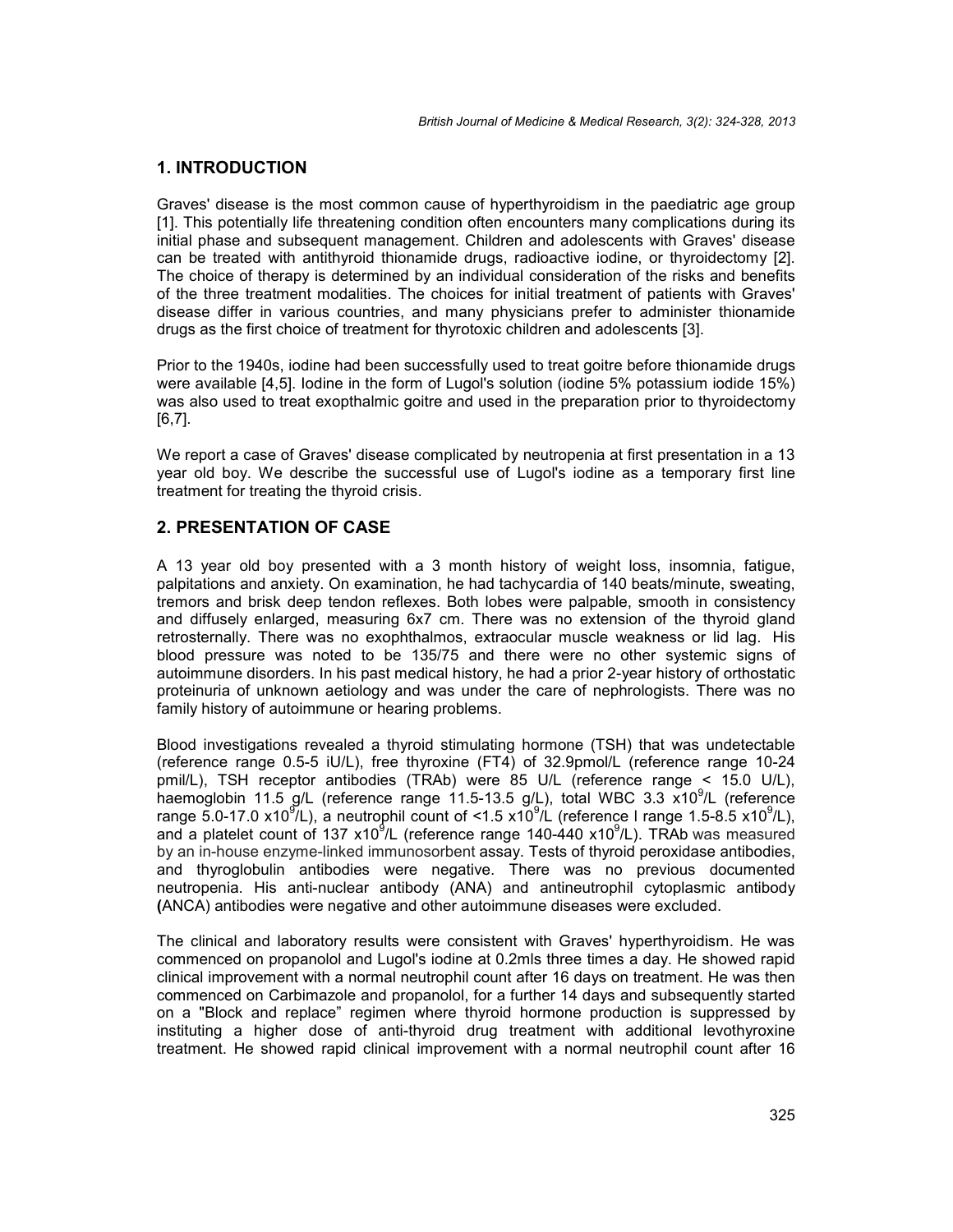#### **1. INTRODUCTION**

Graves' disease is the most common cause of hyperthyroidism in the paediatric age group [1]. This potentially life threatening condition often encounters many complications during its initial phase and subsequent management. Children and adolescents with Graves' disease can be treated with antithyroid thionamide drugs, radioactive iodine, or thyroidectomy [2]. The choice of therapy is determined by an individual consideration of the risks and benefits of the three treatment modalities. The choices for initial treatment of patients with Graves' disease differ in various countries, and many physicians prefer to administer thionamide drugs as the first choice of treatment for thyrotoxic children and adolescents [3].

Prior to the 1940s, iodine had been successfully used to treat goitre before thionamide drugs were available [4,5]. Iodine in the form of Lugol's solution (iodine 5% potassium iodide 15%) was also used to treat exopthalmic goitre and used in the preparation prior to thyroidectomy [6,7].

We report a case of Graves' disease complicated by neutropenia at first presentation in a 13 year old boy. We describe the successful use of Lugol's iodine as a temporary first line treatment for treating the thyroid crisis.

#### **2. PRESENTATION OF CASE**

A 13 year old boy presented with a 3 month history of weight loss, insomnia, fatigue, palpitations and anxiety. On examination, he had tachycardia of 140 beats/minute, sweating, tremors and brisk deep tendon reflexes. Both lobes were palpable, smooth in consistency and diffusely enlarged, measuring 6x7 cm. There was no extension of the thyroid gland retrosternally. There was no exophthalmos, extraocular muscle weakness or lid lag. His blood pressure was noted to be 135/75 and there were no other systemic signs of autoimmune disorders. In his past medical history, he had a prior 2-year history of orthostatic proteinuria of unknown aetiology and was under the care of nephrologists. There was no family history of autoimmune or hearing problems.

Blood investigations revealed a thyroid stimulating hormone (TSH) that was undetectable (reference range 0.5-5 iU/L), free thyroxine (FT4) of 32.9pmol/L (reference range 10-24 pmil/L), TSH receptor antibodies (TRAb) were 85 U/L (reference range < 15.0 U/L), haemoglobin 11.5 g/L (reference range 11.5-13.5 g/L), total WBC 3.3 x10<sup>9</sup>/L (reference range 5.0-17.0 x10<sup>9</sup>/L), a neutrophil count of <1.5 x10<sup>9</sup>/L (reference I range 1.5-8.5 x10<sup>9</sup>/L), and a platelet count of 137 x10<sup>9</sup>/L (reference range 140-440 x10<sup>9</sup>/L). TRAb was measured by an in-house enzyme-linked immunosorbent assay. Tests of thyroid peroxidase antibodies, and thyroglobulin antibodies were negative. There was no previous documented neutropenia. His anti-nuclear antibody (ANA) and antineutrophil cytoplasmic antibody **(**ANCA) antibodies were negative and other autoimmune diseases were excluded.

The clinical and laboratory results were consistent with Graves' hyperthyroidism. He was commenced on propanolol and Lugol's iodine at 0.2mls three times a day. He showed rapid clinical improvement with a normal neutrophil count after 16 days on treatment. He was then commenced on Carbimazole and propanolol, for a further 14 days and subsequently started on a "Block and replace" regimen where thyroid hormone production is suppressed by instituting a higher dose of anti-thyroid drug treatment with additional levothyroxine treatment. He showed rapid clinical improvement with a normal neutrophil count after 16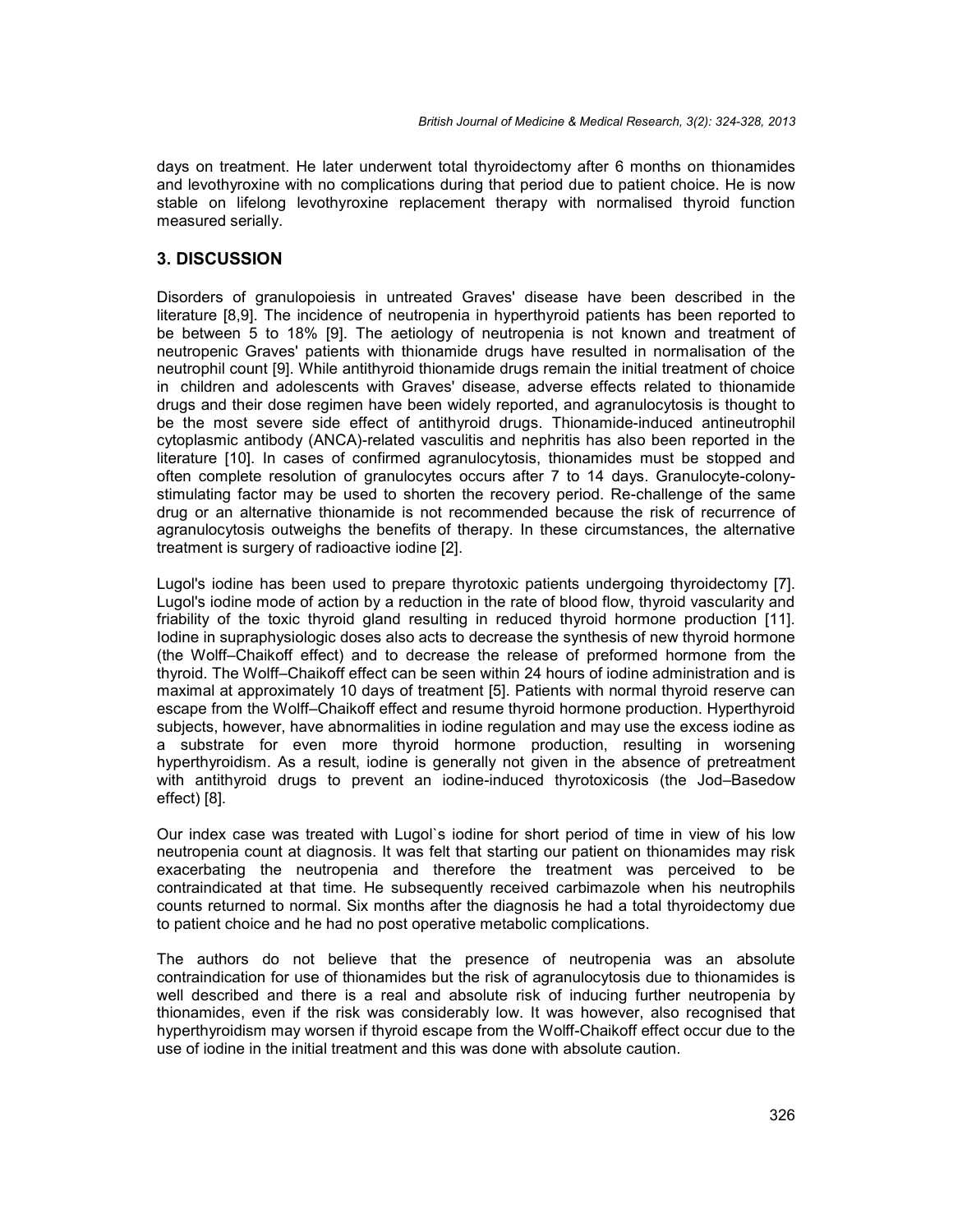days on treatment. He later underwent total thyroidectomy after 6 months on thionamides and levothyroxine with no complications during that period due to patient choice. He is now stable on lifelong levothyroxine replacement therapy with normalised thyroid function measured serially.

# **3. DISCUSSION**

Disorders of granulopoiesis in untreated Graves' disease have been described in the literature [8,9]. The incidence of neutropenia in hyperthyroid patients has been reported to be between 5 to 18% [9]. The aetiology of neutropenia is not known and treatment of neutropenic Graves' patients with thionamide drugs have resulted in normalisation of the neutrophil count [9]. While antithyroid thionamide drugs remain the initial treatment of choice in children and adolescents with Graves' disease, adverse effects related to thionamide drugs and their dose regimen have been widely reported, and agranulocytosis is thought to be the most severe side effect of antithyroid drugs. Thionamide-induced antineutrophil cytoplasmic antibody (ANCA)-related vasculitis and nephritis has also been reported in the literature [10]. In cases of confirmed agranulocytosis, thionamides must be stopped and often complete resolution of granulocytes occurs after 7 to 14 days. Granulocyte-colony stimulating factor may be used to shorten the recovery period. Re-challenge of the same drug or an alternative thionamide is not recommended because the risk of recurrence of agranulocytosis outweighs the benefits of therapy. In these circumstances, the alternative treatment is surgery of radioactive iodine [2].

Lugol's iodine has been used to prepare thyrotoxic patients undergoing thyroidectomy [7]. Lugol's iodine mode of action by a reduction in the rate of blood flow, thyroid vascularity and friability of the toxic thyroid gland resulting in reduced thyroid hormone production [11]. Iodine in supraphysiologic doses also acts to decrease the synthesis of new thyroid hormone (the Wolff–Chaikoff effect) and to decrease the release of preformed hormone from the thyroid. The Wolff–Chaikoff effect can be seen within 24 hours of iodine administration and is maximal at approximately 10 days of treatment [5]. Patients with normal thyroid reserve can escape from the Wolff–Chaikoff effect and resume thyroid hormone production. Hyperthyroid subjects, however, have abnormalities in iodine regulation and may use the excess iodine as a substrate for even more thyroid hormone production, resulting in worsening hyperthyroidism. As a result, iodine is generally not given in the absence of pretreatment with antithyroid drugs to prevent an iodine-induced thyrotoxicosis (the Jod–Basedow effect) [8].

Our index case was treated with Lugol`s iodine for short period of time in view of his low neutropenia count at diagnosis. It was felt that starting our patient on thionamides may risk exacerbating the neutropenia and therefore the treatment was perceived to be contraindicated at that time. He subsequently received carbimazole when his neutrophils counts returned to normal. Six months after the diagnosis he had a total thyroidectomy due to patient choice and he had no post operative metabolic complications.

The authors do not believe that the presence of neutropenia was an absolute contraindication for use of thionamides but the risk of agranulocytosis due to thionamides is well described and there is a real and absolute risk of inducing further neutropenia by thionamides, even if the risk was considerably low. It was however, also recognised that hyperthyroidism may worsen if thyroid escape from the Wolff-Chaikoff effect occur due to the use of iodine in the initial treatment and this was done with absolute caution.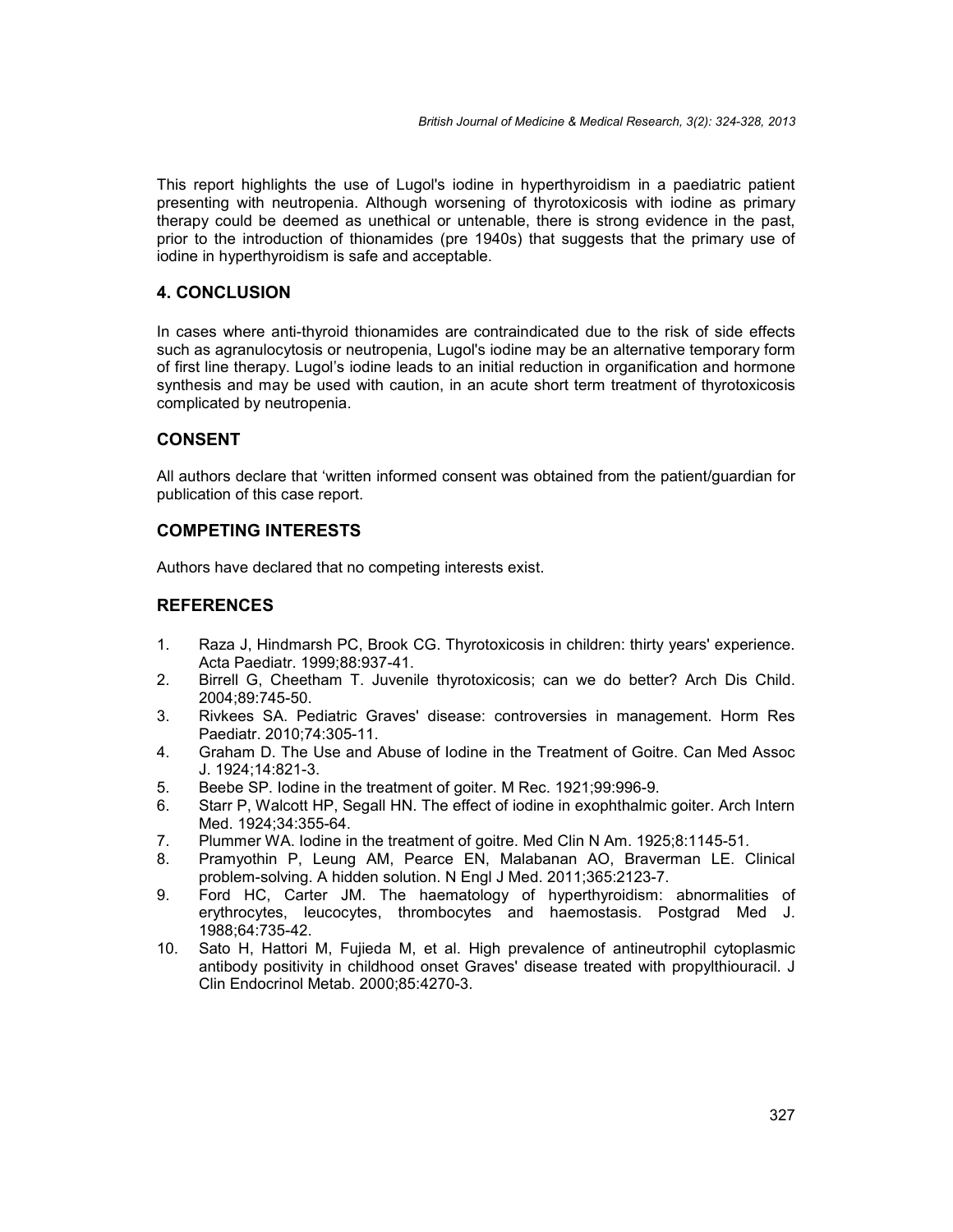This report highlights the use of Lugol's iodine in hyperthyroidism in a paediatric patient presenting with neutropenia. Although worsening of thyrotoxicosis with iodine as primary therapy could be deemed as unethical or untenable, there is strong evidence in the past, prior to the introduction of thionamides (pre 1940s) that suggests that the primary use of iodine in hyperthyroidism is safe and acceptable.

#### **4. CONCLUSION**

In cases where anti-thyroid thionamides are contraindicated due to the risk of side effects such as agranulocytosis or neutropenia, Lugol's iodine may be an alternative temporary form of first line therapy. Lugol's iodine leads to an initial reduction in organification and hormone synthesis and may be used with caution, in an acute short term treatment of thyrotoxicosis complicated by neutropenia.

# **CONSENT**

All authors declare that 'written informed consent was obtained from the patient/guardian for publication of this case report.

#### **COMPETING INTERESTS**

Authors have declared that no competing interests exist.

# **REFERENCES**

- 1. Raza J, Hindmarsh PC, Brook CG. Thyrotoxicosis in children: thirty years' experience. Acta Paediatr. 1999;88:937-41.
- 2. Birrell G, Cheetham T. Juvenile thyrotoxicosis; can we do better? Arch Dis Child. 2004;89:745-50.
- 3. Rivkees SA. Pediatric Graves' disease: controversies in management. Horm Res Paediatr. 2010;74:305-11.
- 4. Graham D. The Use and Abuse of Iodine in the Treatment of Goitre. Can Med Assoc J. 1924;14:821-3.
- 5. Beebe SP. Iodine in the treatment of goiter. M Rec. 1921;99:996-9.
- 6. Starr P, Walcott HP, Segall HN. The effect of iodine in exophthalmic goiter. Arch Intern Med. 1924;34:355-64.
- 7. Plummer WA. Iodine in the treatment of goitre. Med Clin N Am. 1925;8:1145-51.
- 8. Pramyothin P, Leung AM, Pearce EN, Malabanan AO, Braverman LE. Clinical problem-solving. A hidden solution. N Engl J Med. 2011;365:2123-7.
- 9. Ford HC, Carter JM. The haematology of hyperthyroidism: abnormalities of erythrocytes, leucocytes, thrombocytes and haemostasis. Postgrad Med J. 1988;64:735-42.
- 10. Sato H, Hattori M, Fujieda M, et al. High prevalence of antineutrophil cytoplasmic antibody positivity in childhood onset Graves' disease treated with propylthiouracil. J Clin Endocrinol Metab. 2000;85:4270-3.